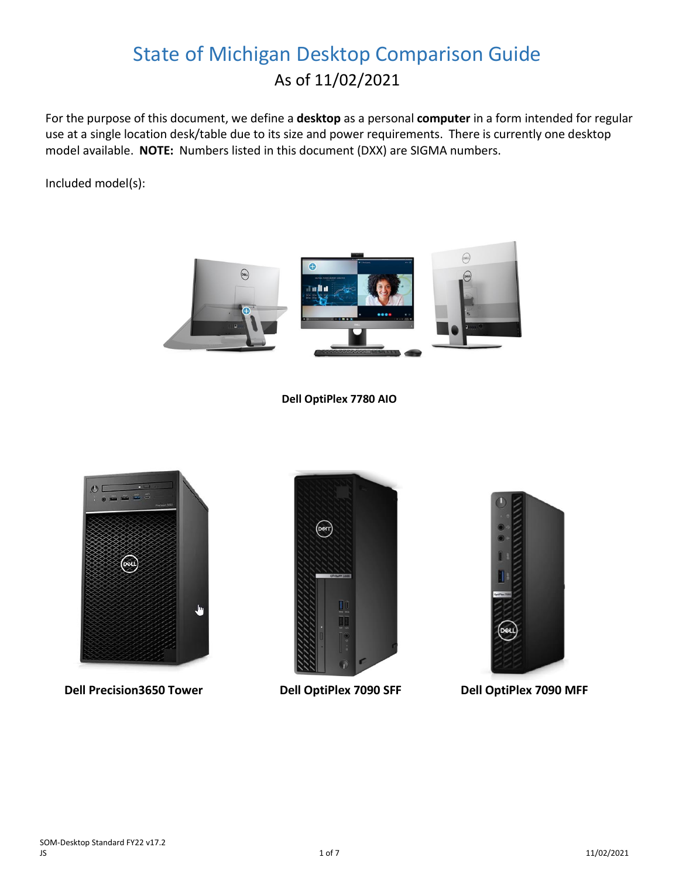# State of Michigan Desktop Comparison Guide As of 11/02/2021

For the purpose of this document, we define a **desktop** as a personal **computer** in a form intended for regular use at a single location desk/table due to its size and power requirements. There is currently one desktop model available. **NOTE:** Numbers listed in this document (DXX) are SIGMA numbers.

Included model(s):



#### **Dell OptiPlex 7780 AIO**



 **Dell Precision3650 Tower Dell OptiPlex 7090 SFF Dell OptiPlex 7090 MFF**



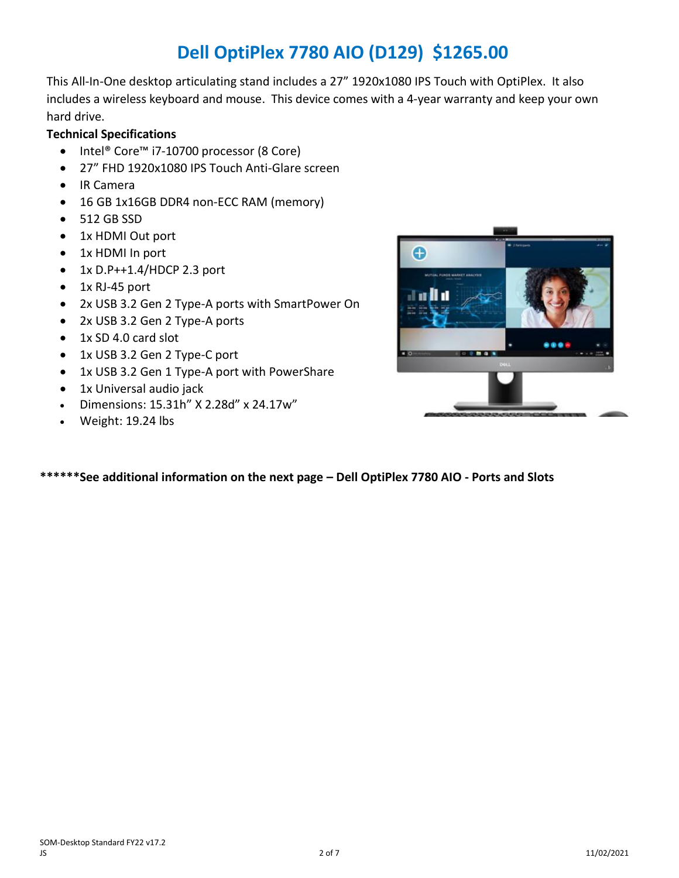## **Dell OptiPlex 7780 AIO (D129) \$1265.00**

This All-In-One desktop articulating stand includes a 27" 1920x1080 IPS Touch with OptiPlex. It also includes a wireless keyboard and mouse. This device comes with a 4-year warranty and keep your own hard drive.

### **Technical Specifications**

- Intel® Core™ i7-10700 processor (8 Core)
- 27" FHD 1920x1080 IPS Touch Anti-Glare screen
- IR Camera
- 16 GB 1x16GB DDR4 non-ECC RAM (memory)
- 512 GB SSD
- 1x HDMI Out port
- 1x HDMI In port
- $\bullet$  1x D.P++1.4/HDCP 2.3 port
- 1x RJ-45 port
- 2x USB 3.2 Gen 2 Type-A ports with SmartPower On
- 2x USB 3.2 Gen 2 Type-A ports
- 1x SD 4.0 card slot
- 1x USB 3.2 Gen 2 Type-C port
- 1x USB 3.2 Gen 1 Type-A port with PowerShare
- 1x Universal audio jack
- Dimensions: 15.31h" X 2.28d" x 24.17w"
- Weight: 19.24 lbs



**\*\*\*\*\*\*See additional information on the next page – Dell OptiPlex 7780 AIO - Ports and Slots**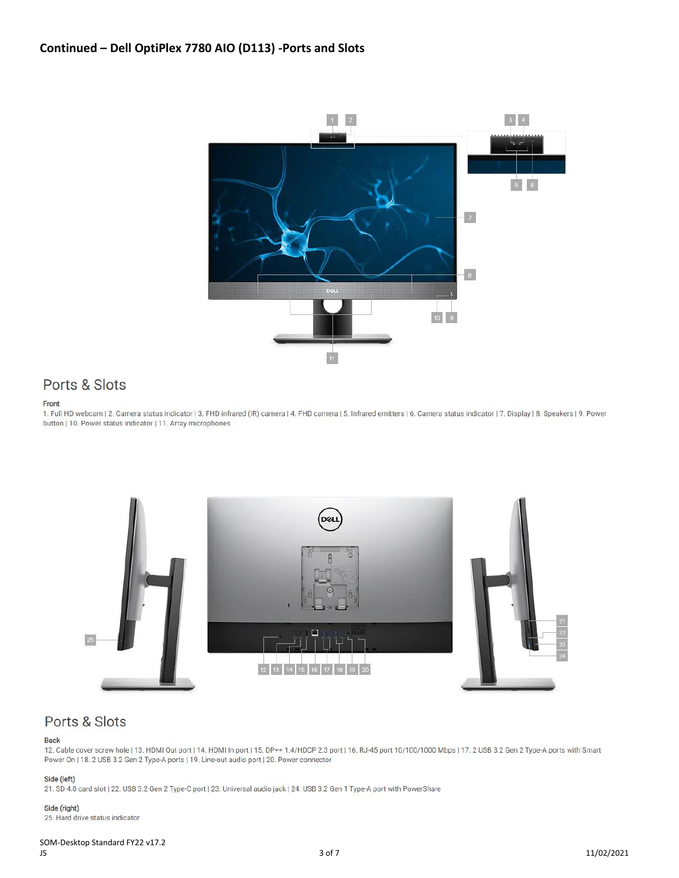

### Ports & Slots

#### Front

1. Full HD webcam | 2. Camera status indicator | 3. FHD infrared (IR) camera | 4. FHD camera | 5. Infrared emitters | 6. Camera status indicator | 7. Display | 8. Speakers | 9. Power button | 10. Power status indicator | 11. Array microphones



### Ports & Slots

#### **Back**

12. Cable cover screw hole | 13. HDMI Out port | 14. HDMI In port | 15. DP++ 1.4/HDCP 2.3 port | 16. RJ-45 port 10/100/1000 Mbps | 17. 2 USB 3.2 Gen 2 Type-A ports with Smart Power On | 18. 2 USB 3.2 Gen 2 Type-A ports | 19. Line-out audio port | 20. Power connector

#### Side (left)

21. SD 4.0 card slot | 22. USB 3.2 Gen 2 Type-C port | 23. Universal audio jack | 24. USB 3.2 Gen 1 Type-A port with PowerShare

#### Side (right)

25. Hard drive status indicator

## SOM-Desktop Standard FY22 v17.2<br>JS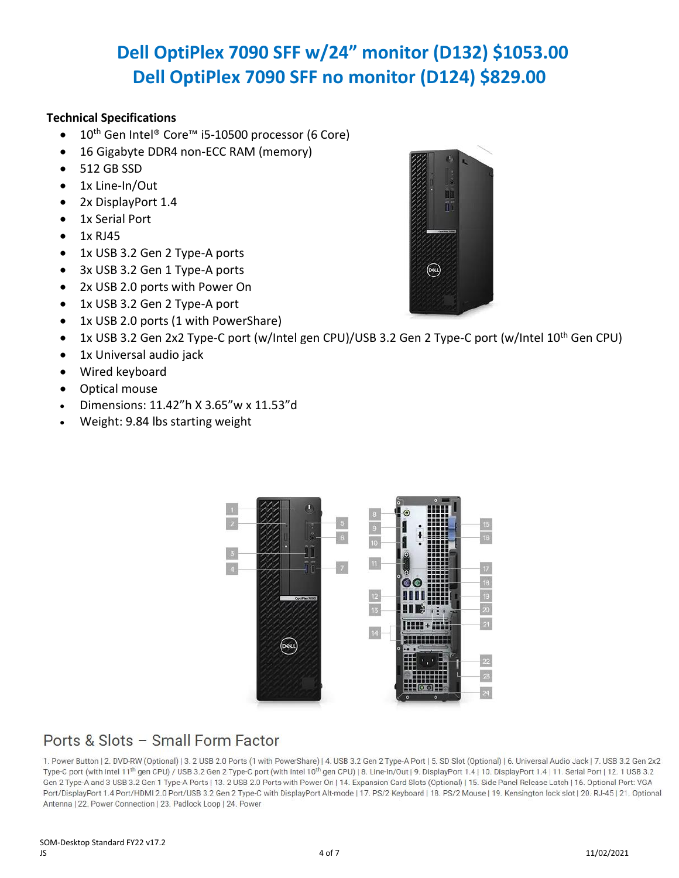# **Dell OptiPlex 7090 SFF w/24" monitor (D132) \$1053.00 Dell OptiPlex 7090 SFF no monitor (D124) \$829.00**

### **Technical Specifications**

- 10th Gen Intel® Core™ i5-10500 processor (6 Core)
- 16 Gigabyte DDR4 non-ECC RAM (memory)
- 512 GB SSD
- 1x Line-In/Out
- 2x DisplayPort 1.4
- 1x Serial Port
- $\bullet$  1x RJ45
- 1x USB 3.2 Gen 2 Type-A ports
- 3x USB 3.2 Gen 1 Type-A ports
- 2x USB 2.0 ports with Power On
- 1x USB 3.2 Gen 2 Type-A port
- 1x USB 2.0 ports (1 with PowerShare)
- 1x USB 3.2 Gen 2x2 Type-C port (w/Intel gen CPU)/USB 3.2 Gen 2 Type-C port (w/Intel 10<sup>th</sup> Gen CPU)
- 1x Universal audio jack
- Wired keyboard
- Optical mouse
- Dimensions: 11.42"h X 3.65"w x 11.53"d
- Weight: 9.84 lbs starting weight





## Ports & Slots - Small Form Factor

1. Power Button | 2. DVD-RW (Optional) | 3. 2 USB 2.0 Ports (1 with PowerShare) | 4. USB 3.2 Gen 2 Type-A Port | 5. SD Slot (Optional) | 6. Universal Audio Jack | 7. USB 3.2 Gen 2x2 Type-C port (with Intel 11th gen CPU) / USB 3.2 Gen 2 Type-C port (with Intel 10th gen CPU) | 8. Line-In/Out | 9. DisplayPort 1.4 | 10. DisplayPort 1.4 | 11. Serial Port | 12. 1 USB 3.2 Gen 2 Type-A and 3 USB 3.2 Gen 1 Type-A Ports | 13. 2 USB 2.0 Ports with Power On | 14. Expansion Card Slots (Optional) | 15. Side Panel Release Latch | 16. Optional Port: VGA Port/DisplayPort 1.4 Port/HDMI 2.0 Port/USB 3.2 Gen 2 Type-C with DisplayPort Alt-mode | 17. PS/2 Keyboard | 18. PS/2 Mouse | 19. Kensington lock slot | 20. RJ-45 | 21. Optional Antenna | 22. Power Connection | 23. Padlock Loop | 24. Power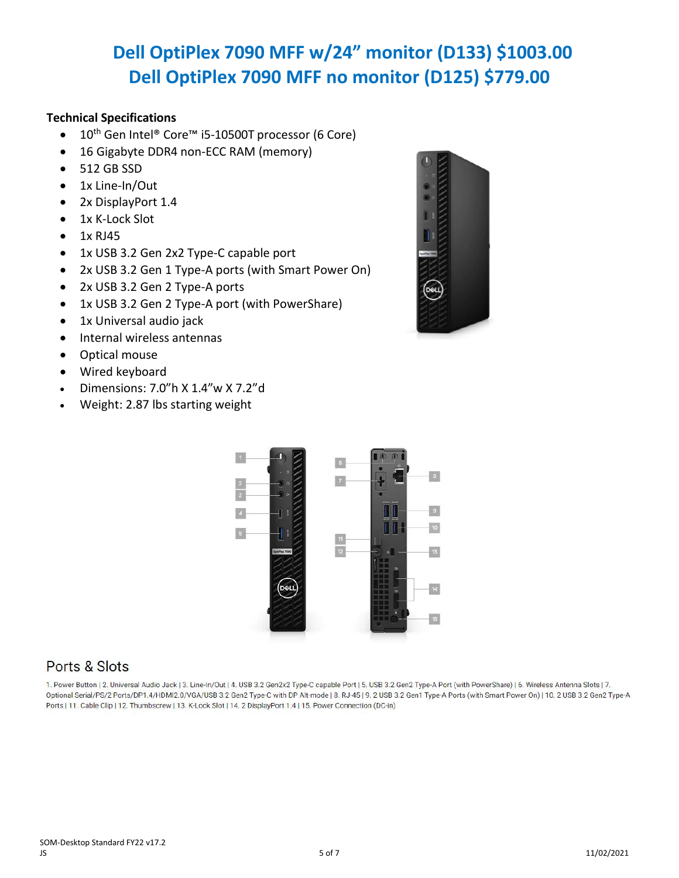# **Dell OptiPlex 7090 MFF w/24" monitor (D133) \$1003.00 Dell OptiPlex 7090 MFF no monitor (D125) \$779.00**

### **Technical Specifications**

- 10th Gen Intel® Core™ i5-10500T processor (6 Core)
- 16 Gigabyte DDR4 non-ECC RAM (memory)
- 512 GB SSD
- 1x Line-In/Out
- 2x DisplayPort 1.4
- 1x K-Lock Slot
- $\bullet$  1x RJ45
- 1x USB 3.2 Gen 2x2 Type-C capable port
- 2x USB 3.2 Gen 1 Type-A ports (with Smart Power On)
- 2x USB 3.2 Gen 2 Type-A ports
- 1x USB 3.2 Gen 2 Type-A port (with PowerShare)
- 1x Universal audio jack
- Internal wireless antennas
- Optical mouse
- Wired keyboard
- Dimensions: 7.0"h X 1.4"w X 7.2"d
- Weight: 2.87 lbs starting weight



### Ports & Slots

1. Power Button | 2. Universal Audio Jack | 3. Line-In/Out | 4. USB 3.2 Gen2x2 Type-C capable Port | 5. USB 3.2 Gen2 Type-A Port (with PowerShare) | 6. Wireless Antenna Slots | 7. Optional Serial/PS/2 Ports/DP1.4/HDMI2.0/VGA/USB 3.2 Gen2 Type-C with DP Alt-mode | 8. RJ-45 | 9. 2 USB 3.2 Gen1 Type-A Ports (with Smart Power On) | 10. 2 USB 3.2 Gen2 Type-A Ports | 11. Cable Clip | 12. Thumbscrew | 13. K-Lock Slot | 14. 2 DisplayPort 1.4 | 15. Power Connection (DC-in)

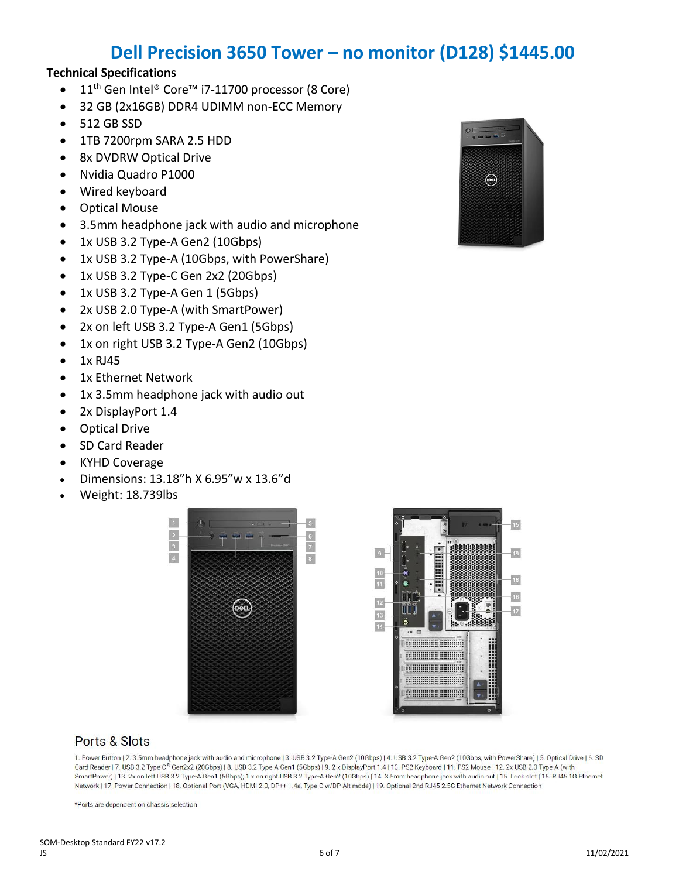## **Dell Precision 3650 Tower – no monitor (D128) \$1445.00**

#### **Technical Specifications**

- 11th Gen Intel® Core™ i7-11700 processor (8 Core)
- 32 GB (2x16GB) DDR4 UDIMM non-ECC Memory
- 512 GB SSD
- 1TB 7200rpm SARA 2.5 HDD
- 8x DVDRW Optical Drive
- Nvidia Quadro P1000
- Wired keyboard
- Optical Mouse
- 3.5mm headphone jack with audio and microphone
- 1x USB 3.2 Type-A Gen2 (10Gbps)
- 1x USB 3.2 Type-A (10Gbps, with PowerShare)
- 1x USB 3.2 Type-C Gen 2x2 (20Gbps)
- 1x USB 3.2 Type-A Gen 1 (5Gbps)
- 2x USB 2.0 Type-A (with SmartPower)
- 2x on left USB 3.2 Type-A Gen1 (5Gbps)
- 1x on right USB 3.2 Type-A Gen2 (10Gbps)
- $\bullet$  1x RJ45
- 1x Ethernet Network
- 1x 3.5mm headphone jack with audio out
- 2x DisplayPort 1.4
- Optical Drive
- SD Card Reader
- KYHD Coverage
- Dimensions: 13.18"h X 6.95"w x 13.6"d
- Weight: 18.739lbs





### Ports & Slots

1. Power Button | 2. 3.5mm headphone jack with audio and microphone | 3. USB 3.2 Type-A Gen2 (10Gbps) | 4. USB 3.2 Type-A Gen2 (10Gbps, with PowerShare) | 5. Optical Drive | 6. SD Card Reader | 7. USB 3.2 Type-C® Gen2x2 (20Gbps) | 8. USB 3.2 Type-A Gen1 (5Gbps) | 9. 2 x DisplayPort 1.4 | 10. PS2 Keyboard | 11. PS2 Mouse | 12. 2x USB 2.0 Type-A (with SmartPower) | 13. 2x on left USB 3.2 Type-A Gen1 (5Gbps); 1 x on right USB 3.2 Type-A Gen2 (10Gbps) | 14. 3.5mm headphone jack with audio out | 15. Lock slot | 16. RJ45 1G Ethernet Network | 17. Power Connection | 18. Optional Port (VGA, HDMI 2.0, DP++ 1.4a, Type C w/DP-Alt mode) | 19. Optional 2nd RJ45 2.5G Ethernet Network Connection

\*Ports are dependent on chassis selection